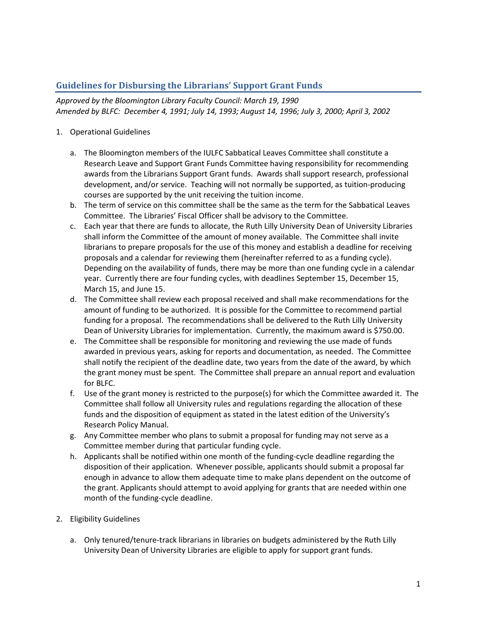## **Guidelines for Disbursing the Librarians' Support Grant Funds**

*Approved by the Bloomington Library Faculty Council: March 19, 1990 Amended by BLFC: December 4, 1991; July 14, 1993; August 14, 1996; July 3, 2000; April 3, 2002*

## 1. Operational Guidelines

- a. The Bloomington members of the IULFC Sabbatical Leaves Committee shall constitute a Research Leave and Support Grant Funds Committee having responsibility for recommending awards from the Librarians Support Grant funds. Awards shall support research, professional development, and/or service. Teaching will not normally be supported, as tuition-producing courses are supported by the unit receiving the tuition income.
- b. The term of service on this committee shall be the same as the term for the Sabbatical Leaves Committee. The Libraries' Fiscal Officer shall be advisory to the Committee.
- c. Each year that there are funds to allocate, the Ruth Lilly University Dean of University Libraries shall inform the Committee of the amount of money available. The Committee shall invite librarians to prepare proposals for the use of this money and establish a deadline for receiving proposals and a calendar for reviewing them (hereinafter referred to as a funding cycle). Depending on the availability of funds, there may be more than one funding cycle in a calendar year. Currently there are four funding cycles, with deadlines September 15, December 15, March 15, and June 15.
- d. The Committee shall review each proposal received and shall make recommendations for the amount of funding to be authorized. It is possible for the Committee to recommend partial funding for a proposal. The recommendations shall be delivered to the Ruth Lilly University Dean of University Libraries for implementation. Currently, the maximum award is \$750.00.
- e. The Committee shall be responsible for monitoring and reviewing the use made of funds awarded in previous years, asking for reports and documentation, as needed. The Committee shall notify the recipient of the deadline date, two years from the date of the award, by which the grant money must be spent. The Committee shall prepare an annual report and evaluation for BLFC.
- f. Use of the grant money is restricted to the purpose(s) for which the Committee awarded it. The Committee shall follow all University rules and regulations regarding the allocation of these funds and the disposition of equipment as stated in the latest edition of the University's Research Policy Manual.
- g. Any Committee member who plans to submit a proposal for funding may not serve as a Committee member during that particular funding cycle.
- h. Applicants shall be notified within one month of the funding-cycle deadline regarding the disposition of their application. Whenever possible, applicants should submit a proposal far enough in advance to allow them adequate time to make plans dependent on the outcome of the grant. Applicants should attempt to avoid applying for grants that are needed within one month of the funding-cycle deadline.
- 2. Eligibility Guidelines
	- a. Only tenured/tenure-track librarians in libraries on budgets administered by the Ruth Lilly University Dean of University Libraries are eligible to apply for support grant funds.